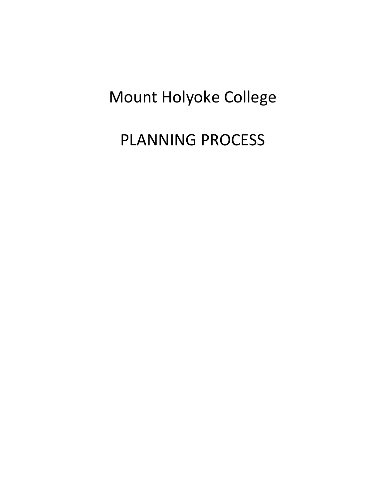# Mount Holyoke College

PLANNING PROCESS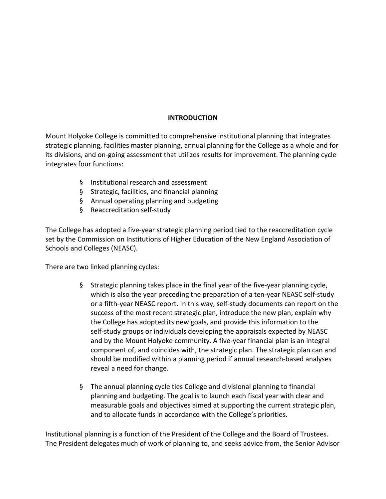## **INTRODUCTION**

Mount Holyoke College is committed to comprehensive institutional planning that integrates strategic planning, facilities master planning, annual planning for the College as a whole and for its divisions, and on-going assessment that utilizes results for improvement. The planning cycle integrates four functions:

- § Institutional research and assessment
- § Strategic, facilities, and financial planning
- § Annual operating planning and budgeting
- § Reaccreditation self-study

The College has adopted a five-year strategic planning period tied to the reaccreditation cycle set by the Commission on Institutions of Higher Education of the New England Association of Schools and Colleges (NEASC).

There are two linked planning cycles:

- § Strategic planning takes place in the final year of the five-year planning cycle, which is also the year preceding the preparation of a ten-year NEASC self-study or a fifth-year NEASC report. In this way, self-study documents can report on the success of the most recent strategic plan, introduce the new plan, explain why the College has adopted its new goals, and provide this information to the self-study groups or individuals developing the appraisals expected by NEASC and by the Mount Holyoke community. A five-year financial plan is an integral component of, and coincides with, the strategic plan. The strategic plan can and should be modified within a planning period if annual research-based analyses reveal a need for change.
- § The annual planning cycle ties College and divisional planning to financial planning and budgeting. The goal is to launch each fiscal year with clear and measurable goals and objectives aimed at supporting the current strategic plan, and to allocate funds in accordance with the College's priorities.

Institutional planning is a function of the President of the College and the Board of Trustees. The President delegates much of work of planning to, and seeks advice from, the Senior Advisor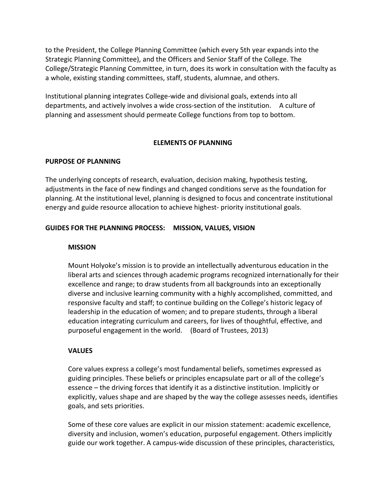to the President, the College Planning Committee (which every 5th year expands into the Strategic Planning Committee), and the Officers and Senior Staff of the College. The College/Strategic Planning Committee, in turn, does its work in consultation with the faculty as a whole, existing standing committees, staff, students, alumnae, and others.

Institutional planning integrates College-wide and divisional goals, extends into all departments, and actively involves a wide cross-section of the institution. A culture of planning and assessment should permeate College functions from top to bottom.

#### **ELEMENTS OF PLANNING**

#### **PURPOSE OF PLANNING**

The underlying concepts of research, evaluation, decision making, hypothesis testing, adjustments in the face of new findings and changed conditions serve as the foundation for planning. At the institutional level, planning is designed to focus and concentrate institutional energy and guide resource allocation to achieve highest- priority institutional goals.

#### **GUIDES FOR THE PLANNING PROCESS: MISSION, VALUES, VISION**

#### **MISSION**

Mount Holyoke's mission is to provide an intellectually adventurous education in the liberal arts and sciences through academic programs recognized internationally for their excellence and range; to draw students from all backgrounds into an exceptionally diverse and inclusive learning community with a highly accomplished, committed, and responsive faculty and staff; to continue building on the College's historic legacy of leadership in the education of women; and to prepare students, through a liberal education integrating curriculum and careers, for lives of thoughtful, effective, and purposeful engagement in the world. (Board of Trustees, 2013)

#### **VALUES**

Core values express a college's most fundamental beliefs, sometimes expressed as guiding principles. These beliefs or principles encapsulate part or all of the college's essence – the driving forces that identify it as a distinctive institution. Implicitly or explicitly, values shape and are shaped by the way the college assesses needs, identifies goals, and sets priorities.

Some of these core values are explicit in our mission statement: academic excellence, diversity and inclusion, women's education, purposeful engagement. Others implicitly guide our work together. A campus-wide discussion of these principles, characteristics,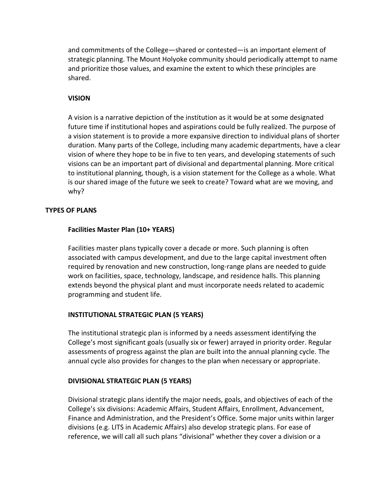and commitments of the College—shared or contested—is an important element of strategic planning. The Mount Holyoke community should periodically attempt to name and prioritize those values, and examine the extent to which these principles are shared.

### **VISION**

A vision is a narrative depiction of the institution as it would be at some designated future time if institutional hopes and aspirations could be fully realized. The purpose of a vision statement is to provide a more expansive direction to individual plans of shorter duration. Many parts of the College, including many academic departments, have a clear vision of where they hope to be in five to ten years, and developing statements of such visions can be an important part of divisional and departmental planning. More critical to institutional planning, though, is a vision statement for the College as a whole. What is our shared image of the future we seek to create? Toward what are we moving, and why?

#### **TYPES OF PLANS**

## **Facilities Master Plan (10+ YEARS)**

Facilities master plans typically cover a decade or more. Such planning is often associated with campus development, and due to the large capital investment often required by renovation and new construction, long-range plans are needed to guide work on facilities, space, technology, landscape, and residence halls. This planning extends beyond the physical plant and must incorporate needs related to academic programming and student life.

## **INSTITUTIONAL STRATEGIC PLAN (5 YEARS)**

The institutional strategic plan is informed by a needs assessment identifying the College's most significant goals (usually six or fewer) arrayed in priority order. Regular assessments of progress against the plan are built into the annual planning cycle. The annual cycle also provides for changes to the plan when necessary or appropriate.

#### **DIVISIONAL STRATEGIC PLAN (5 YEARS)**

Divisional strategic plans identify the major needs, goals, and objectives of each of the College's six divisions: Academic Affairs, Student Affairs, Enrollment, Advancement, Finance and Administration, and the President's Office. Some major units within larger divisions (e.g. LITS in Academic Affairs) also develop strategic plans. For ease of reference, we will call all such plans "divisional" whether they cover a division or a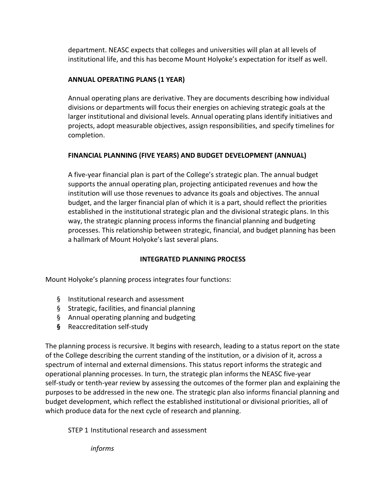department. NEASC expects that colleges and universities will plan at all levels of institutional life, and this has become Mount Holyoke's expectation for itself as well.

## **ANNUAL OPERATING PLANS (1 YEAR)**

Annual operating plans are derivative. They are documents describing how individual divisions or departments will focus their energies on achieving strategic goals at the larger institutional and divisional levels. Annual operating plans identify initiatives and projects, adopt measurable objectives, assign responsibilities, and specify timelines for completion.

## **FINANCIAL PLANNING (FIVE YEARS) AND BUDGET DEVELOPMENT (ANNUAL)**

A five-year financial plan is part of the College's strategic plan. The annual budget supports the annual operating plan, projecting anticipated revenues and how the institution will use those revenues to advance its goals and objectives. The annual budget, and the larger financial plan of which it is a part, should reflect the priorities established in the institutional strategic plan and the divisional strategic plans. In this way, the strategic planning process informs the financial planning and budgeting processes. This relationship between strategic, financial, and budget planning has been a hallmark of Mount Holyoke's last several plans.

## **INTEGRATED PLANNING PROCESS**

Mount Holyoke's planning process integrates four functions:

- § Institutional research and assessment
- § Strategic, facilities, and financial planning
- § Annual operating planning and budgeting
- **§** Reaccreditation self-study

The planning process is recursive. It begins with research, leading to a status report on the state of the College describing the current standing of the institution, or a division of it, across a spectrum of internal and external dimensions. This status report informs the strategic and operational planning processes. In turn, the strategic plan informs the NEASC five-year self-study or tenth-year review by assessing the outcomes of the former plan and explaining the purposes to be addressed in the new one. The strategic plan also informs financial planning and budget development, which reflect the established institutional or divisional priorities, all of which produce data for the next cycle of research and planning.

STEP 1 Institutional research and assessment

*informs*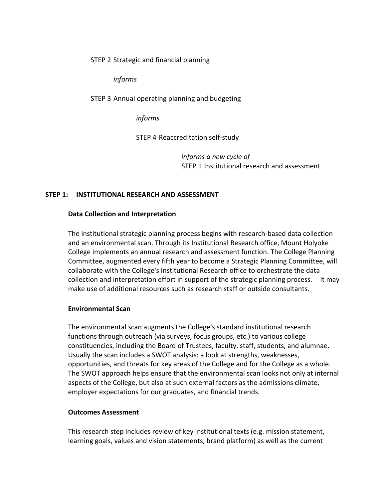STEP 2 Strategic and financial planning

*informs* 

STEP 3 Annual operating planning and budgeting

*informs*

STEP 4 Reaccreditation self-study

*informs a new cycle of*  STEP 1 Institutional research and assessment

#### **STEP 1: INSTITUTIONAL RESEARCH AND ASSESSMENT**

#### **Data Collection and Interpretation**

The institutional strategic planning process begins with research-based data collection and an environmental scan. Through its Institutional Research office, Mount Holyoke College implements an annual research and assessment function. The College Planning Committee, augmented every fifth year to become a Strategic Planning Committee, will collaborate with the College's Institutional Research office to orchestrate the data collection and interpretation effort in support of the strategic planning process. It may make use of additional resources such as research staff or outside consultants.

#### **Environmental Scan**

The environmental scan augments the College's standard institutional research functions through outreach (via surveys, focus groups, etc.) to various college constituencies, including the Board of Trustees, faculty, staff, students, and alumnae. Usually the scan includes a SWOT analysis: a look at strengths, weaknesses, opportunities, and threats for key areas of the College and for the College as a whole. The SWOT approach helps ensure that the environmental scan looks not only at internal aspects of the College, but also at such external factors as the admissions climate, employer expectations for our graduates, and financial trends.

#### **Outcomes Assessment**

This research step includes review of key institutional texts (e.g. mission statement, learning goals, values and vision statements, brand platform) as well as the current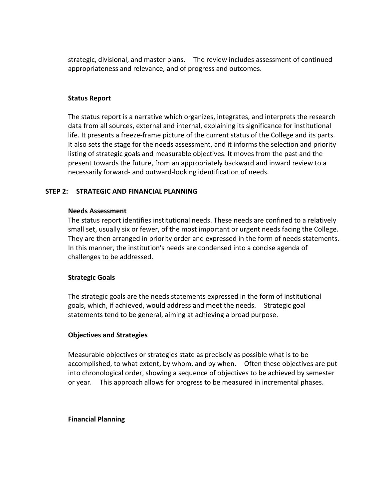strategic, divisional, and master plans. The review includes assessment of continued appropriateness and relevance, and of progress and outcomes.

#### **Status Report**

The status report is a narrative which organizes, integrates, and interprets the research data from all sources, external and internal, explaining its significance for institutional life. It presents a freeze-frame picture of the current status of the College and its parts. It also sets the stage for the needs assessment, and it informs the selection and priority listing of strategic goals and measurable objectives. It moves from the past and the present towards the future, from an appropriately backward and inward review to a necessarily forward- and outward-looking identification of needs.

#### **STEP 2: STRATEGIC AND FINANCIAL PLANNING**

#### **Needs Assessment**

The status report identifies institutional needs. These needs are confined to a relatively small set, usually six or fewer, of the most important or urgent needs facing the College. They are then arranged in priority order and expressed in the form of needs statements. In this manner, the institution's needs are condensed into a concise agenda of challenges to be addressed.

#### **Strategic Goals**

The strategic goals are the needs statements expressed in the form of institutional goals, which, if achieved, would address and meet the needs. Strategic goal statements tend to be general, aiming at achieving a broad purpose.

#### **Objectives and Strategies**

Measurable objectives or strategies state as precisely as possible what is to be accomplished, to what extent, by whom, and by when. Often these objectives are put into chronological order, showing a sequence of objectives to be achieved by semester or year. This approach allows for progress to be measured in incremental phases.

#### **Financial Planning**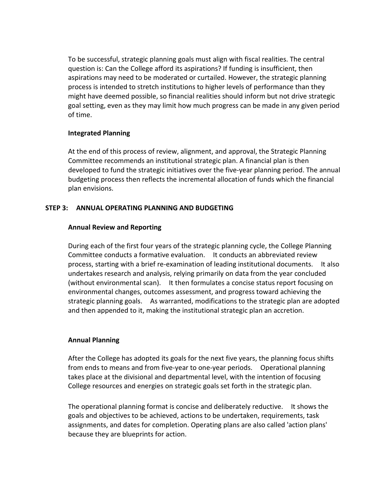To be successful, strategic planning goals must align with fiscal realities. The central question is: Can the College afford its aspirations? If funding is insufficient, then aspirations may need to be moderated or curtailed. However, the strategic planning process is intended to stretch institutions to higher levels of performance than they might have deemed possible, so financial realities should inform but not drive strategic goal setting, even as they may limit how much progress can be made in any given period of time.

## **Integrated Planning**

At the end of this process of review, alignment, and approval, the Strategic Planning Committee recommends an institutional strategic plan. A financial plan is then developed to fund the strategic initiatives over the five-year planning period. The annual budgeting process then reflects the incremental allocation of funds which the financial plan envisions.

## **STEP 3: ANNUAL OPERATING PLANNING AND BUDGETING**

## **Annual Review and Reporting**

During each of the first four years of the strategic planning cycle, the College Planning Committee conducts a formative evaluation. It conducts an abbreviated review process, starting with a brief re-examination of leading institutional documents. It also undertakes research and analysis, relying primarily on data from the year concluded (without environmental scan). It then formulates a concise status report focusing on environmental changes, outcomes assessment, and progress toward achieving the strategic planning goals. As warranted, modifications to the strategic plan are adopted and then appended to it, making the institutional strategic plan an accretion.

## **Annual Planning**

After the College has adopted its goals for the next five years, the planning focus shifts from ends to means and from five-year to one-year periods. Operational planning takes place at the divisional and departmental level, with the intention of focusing College resources and energies on strategic goals set forth in the strategic plan.

The operational planning format is concise and deliberately reductive. It shows the goals and objectives to be achieved, actions to be undertaken, requirements, task assignments, and dates for completion. Operating plans are also called 'action plans' because they are blueprints for action.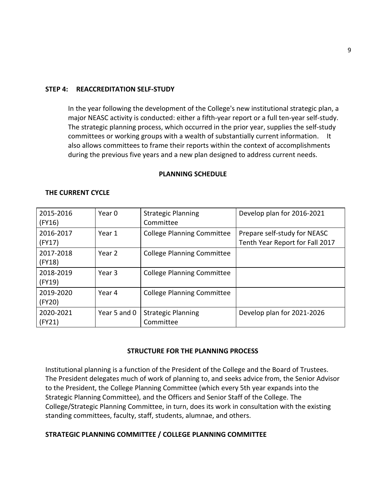#### **STEP 4: REACCREDITATION SELF-STUDY**

In the year following the development of the College's new institutional strategic plan, a major NEASC activity is conducted: either a fifth-year report or a full ten-year self-study. The strategic planning process, which occurred in the prior year, supplies the self-study committees or working groups with a wealth of substantially current information. It also allows committees to frame their reports within the context of accomplishments during the previous five years and a new plan designed to address current needs.

#### **PLANNING SCHEDULE**

| 2015-2016<br>(FY16) | Year 0            | <b>Strategic Planning</b><br>Committee | Develop plan for 2016-2021                                      |
|---------------------|-------------------|----------------------------------------|-----------------------------------------------------------------|
| 2016-2017<br>(FY17) | Year 1            | <b>College Planning Committee</b>      | Prepare self-study for NEASC<br>Tenth Year Report for Fall 2017 |
| 2017-2018<br>(FY18) | Year 2            | <b>College Planning Committee</b>      |                                                                 |
| 2018-2019<br>(FY19) | Year <sub>3</sub> | <b>College Planning Committee</b>      |                                                                 |
| 2019-2020<br>(FY20) | Year 4            | <b>College Planning Committee</b>      |                                                                 |
| 2020-2021<br>(FY21) | Year 5 and 0      | <b>Strategic Planning</b><br>Committee | Develop plan for 2021-2026                                      |

#### **THE CURRENT CYCLE**

#### **STRUCTURE FOR THE PLANNING PROCESS**

Institutional planning is a function of the President of the College and the Board of Trustees. The President delegates much of work of planning to, and seeks advice from, the Senior Advisor to the President, the College Planning Committee (which every 5th year expands into the Strategic Planning Committee), and the Officers and Senior Staff of the College. The College/Strategic Planning Committee, in turn, does its work in consultation with the existing standing committees, faculty, staff, students, alumnae, and others.

#### **STRATEGIC PLANNING COMMITTEE / COLLEGE PLANNING COMMITTEE**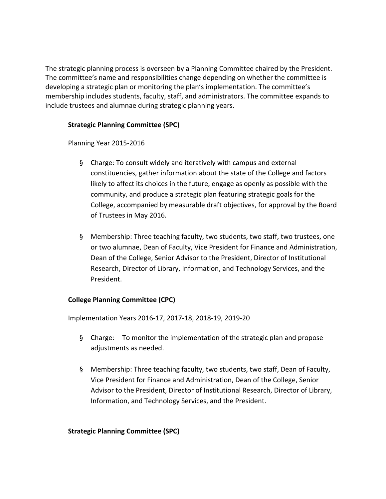The strategic planning process is overseen by a Planning Committee chaired by the President. The committee's name and responsibilities change depending on whether the committee is developing a strategic plan or monitoring the plan's implementation. The committee's membership includes students, faculty, staff, and administrators. The committee expands to include trustees and alumnae during strategic planning years.

## **Strategic Planning Committee (SPC)**

Planning Year 2015-2016

- § Charge: To consult widely and iteratively with campus and external constituencies, gather information about the state of the College and factors likely to affect its choices in the future, engage as openly as possible with the community, and produce a strategic plan featuring strategic goals for the College, accompanied by measurable draft objectives, for approval by the Board of Trustees in May 2016.
- § Membership: Three teaching faculty, two students, two staff, two trustees, one or two alumnae, Dean of Faculty, Vice President for Finance and Administration, Dean of the College, Senior Advisor to the President, Director of Institutional Research, Director of Library, Information, and Technology Services, and the President.

## **College Planning Committee (CPC)**

Implementation Years 2016-17, 2017-18, 2018-19, 2019-20

- § Charge: To monitor the implementation of the strategic plan and propose adjustments as needed.
- § Membership: Three teaching faculty, two students, two staff, Dean of Faculty, Vice President for Finance and Administration, Dean of the College, Senior Advisor to the President, Director of Institutional Research, Director of Library, Information, and Technology Services, and the President.

## **Strategic Planning Committee (SPC)**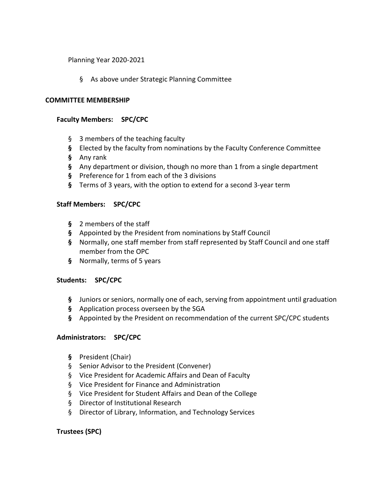#### Planning Year 2020-2021

§ As above under Strategic Planning Committee

#### **COMMITTEE MEMBERSHIP**

### **Faculty Members: SPC/CPC**

- § 3 members of the teaching faculty
- **§** Elected by the faculty from nominations by the Faculty Conference Committee
- **§** Any rank
- **§** Any department or division, though no more than 1 from a single department
- **§** Preference for 1 from each of the 3 divisions
- **§** Terms of 3 years, with the option to extend for a second 3-year term

#### **Staff Members: SPC/CPC**

- **§** 2 members of the staff
- **§** Appointed by the President from nominations by Staff Council
- **§** Normally, one staff member from staff represented by Staff Council and one staff member from the OPC
- **§** Normally, terms of 5 years

#### **Students: SPC/CPC**

- **§** Juniors or seniors, normally one of each, serving from appointment until graduation
- **§** Application process overseen by the SGA
- **§** Appointed by the President on recommendation of the current SPC/CPC students

#### **Administrators: SPC/CPC**

- **§** President (Chair)
- § Senior Advisor to the President (Convener)
- § Vice President for Academic Affairs and Dean of Faculty
- § Vice President for Finance and Administration
- § Vice President for Student Affairs and Dean of the College
- § Director of Institutional Research
- § Director of Library, Information, and Technology Services

#### **Trustees (SPC)**